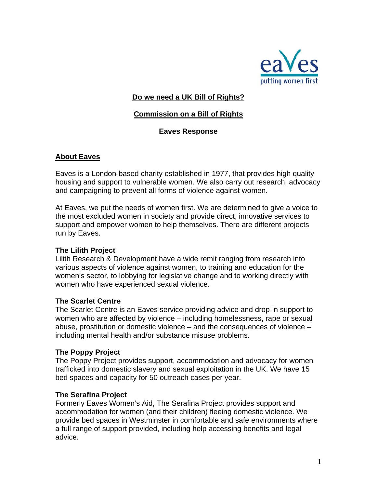

### **Do we need a UK Bill of Rights?**

## **Commission on a Bill of Rights**

## **Eaves Response**

### **About Eaves**

Eaves is a London-based charity established in 1977, that provides high quality housing and support to vulnerable women. We also carry out research, advocacy and campaigning to prevent all forms of violence against women.

At Eaves, we put the needs of women first. We are determined to give a voice to the most excluded women in society and provide direct, innovative services to support and empower women to help themselves. There are different projects run by Eaves.

#### **The Lilith Project**

Lilith Research & Development have a wide remit ranging from research into various aspects of violence against women, to training and education for the women's sector, to lobbying for legislative change and to working directly with women who have experienced sexual violence.

#### **The Scarlet Centre**

The Scarlet Centre is an Eaves service providing advice and drop-in support to women who are affected by violence – including homelessness, rape or sexual abuse, prostitution or domestic violence – and the consequences of violence – including mental health and/or substance misuse problems.

#### **The Poppy Project**

The Poppy Project provides support, accommodation and advocacy for women trafficked into domestic slavery and sexual exploitation in the UK. We have 15 bed spaces and capacity for 50 outreach cases per year.

#### **The Serafina Project**

Formerly Eaves Women's Aid, The Serafina Project provides support and accommodation for women (and their children) fleeing domestic violence. We provide bed spaces in Westminster in comfortable and safe environments where a full range of support provided, including help accessing benefits and legal advice.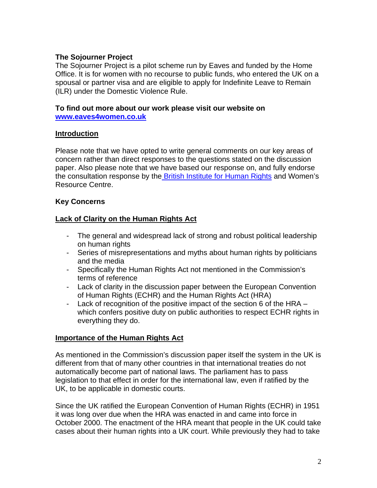### **The Sojourner Project**

The Sojourner Project is a pilot scheme run by Eaves and funded by the Home Office. It is for women with no recourse to public funds, who entered the UK on a spousal or partner visa and are eligible to apply for Indefinite Leave to Remain (ILR) under the Domestic Violence Rule.

#### **To find out more about our work please visit our website on [www.eaves4women.co.uk](http://www.eaves4women.co.uk/)**

#### **Introduction**

Please note that we have opted to write general comments on our key areas of concern rather than direct responses to the questions stated on the discussion paper. Also please note that we have based our response on, and fully endorse the consultation response by the [British Institute for Human Rights](http://www.bihr.org.uk/news/bihr-responds-to-the-governments-commission-on-a-uk-bill-of-rights) and Women's Resource Centre.

### **Key Concerns**

### **Lack of Clarity on the Human Rights Act**

- The general and widespread lack of strong and robust political leadership on human rights
- Series of misrepresentations and myths about human rights by politicians and the media
- Specifically the Human Rights Act not mentioned in the Commission's terms of reference
- Lack of clarity in the discussion paper between the European Convention of Human Rights (ECHR) and the Human Rights Act (HRA)
- Lack of recognition of the positive impact of the section 6 of the HRA which confers positive duty on public authorities to respect ECHR rights in everything they do.

#### **Importance of the Human Rights Act**

As mentioned in the Commission's discussion paper itself the system in the UK is different from that of many other countries in that international treaties do not automatically become part of national laws. The parliament has to pass legislation to that effect in order for the international law, even if ratified by the UK, to be applicable in domestic courts.

Since the UK ratified the European Convention of Human Rights (ECHR) in 1951 it was long over due when the HRA was enacted in and came into force in October 2000. The enactment of the HRA meant that people in the UK could take cases about their human rights into a UK court. While previously they had to take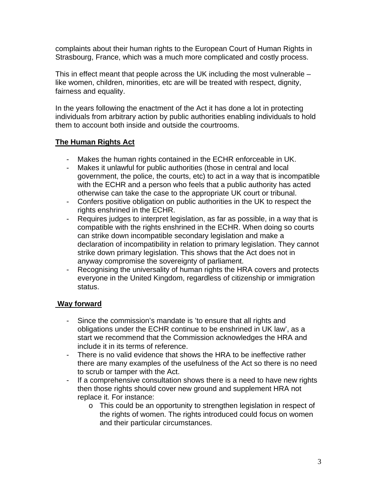complaints about their human rights to the European Court of Human Rights in Strasbourg, France, which was a much more complicated and costly process.

This in effect meant that people across the UK including the most vulnerable – like women, children, minorities, etc are will be treated with respect, dignity, fairness and equality.

In the years following the enactment of the Act it has done a lot in protecting individuals from arbitrary action by public authorities enabling individuals to hold them to account both inside and outside the courtrooms.

# **The Human Rights Act**

- Makes the human rights contained in the ECHR enforceable in UK.
- Makes it unlawful for public authorities (those in central and local government, the police, the courts, etc) to act in a way that is incompatible with the ECHR and a person who feels that a public authority has acted otherwise can take the case to the appropriate UK court or tribunal.
- Confers positive obligation on public authorities in the UK to respect the rights enshrined in the ECHR.
- Requires judges to interpret legislation, as far as possible, in a way that is compatible with the rights enshrined in the ECHR. When doing so courts can strike down incompatible secondary legislation and make a declaration of incompatibility in relation to primary legislation. They cannot strike down primary legislation. This shows that the Act does not in anyway compromise the sovereignty of parliament.
- Recognising the universality of human rights the HRA covers and protects everyone in the United Kingdom, regardless of citizenship or immigration status.

## **Way forward**

- Since the commission's mandate is 'to ensure that all rights and obligations under the ECHR continue to be enshrined in UK law', as a start we recommend that the Commission acknowledges the HRA and include it in its terms of reference.
- There is no valid evidence that shows the HRA to be ineffective rather there are many examples of the usefulness of the Act so there is no need to scrub or tamper with the Act.
- If a comprehensive consultation shows there is a need to have new rights then those rights should cover new ground and supplement HRA not replace it. For instance:
	- o This could be an opportunity to strengthen legislation in respect of the rights of women. The rights introduced could focus on women and their particular circumstances.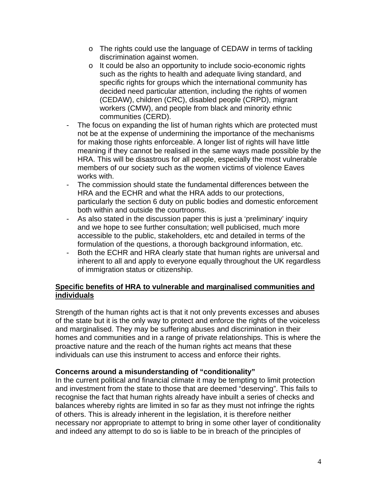- o The rights could use the language of CEDAW in terms of tackling discrimination against women.
- o It could be also an opportunity to include socio-economic rights such as the rights to health and adequate living standard, and specific rights for groups which the international community has decided need particular attention, including the rights of women (CEDAW), children (CRC), disabled people (CRPD), migrant workers (CMW), and people from black and minority ethnic communities (CERD).
- The focus on expanding the list of human rights which are protected must not be at the expense of undermining the importance of the mechanisms for making those rights enforceable. A longer list of rights will have little meaning if they cannot be realised in the same ways made possible by the HRA. This will be disastrous for all people, especially the most vulnerable members of our society such as the women victims of violence Eaves works with.
- The commission should state the fundamental differences between the HRA and the ECHR and what the HRA adds to our protections, particularly the section 6 duty on public bodies and domestic enforcement both within and outside the courtrooms.
- As also stated in the discussion paper this is just a 'preliminary' inquiry and we hope to see further consultation; well publicised, much more accessible to the public, stakeholders, etc and detailed in terms of the formulation of the questions, a thorough background information, etc.
- Both the ECHR and HRA clearly state that human rights are universal and inherent to all and apply to everyone equally throughout the UK regardless of immigration status or citizenship.

## **Specific benefits of HRA to vulnerable and marginalised communities and individuals**

Strength of the human rights act is that it not only prevents excesses and abuses of the state but it is the only way to protect and enforce the rights of the voiceless and marginalised. They may be suffering abuses and discrimination in their homes and communities and in a range of private relationships. This is where the proactive nature and the reach of the human rights act means that these individuals can use this instrument to access and enforce their rights.

## **Concerns around a misunderstanding of "conditionality"**

In the current political and financial climate it may be tempting to limit protection and investment from the state to those that are deemed "deserving". This fails to recognise the fact that human rights already have inbuilt a series of checks and balances whereby rights are limited in so far as they must not infringe the rights of others. This is already inherent in the legislation, it is therefore neither necessary nor appropriate to attempt to bring in some other layer of conditionality and indeed any attempt to do so is liable to be in breach of the principles of